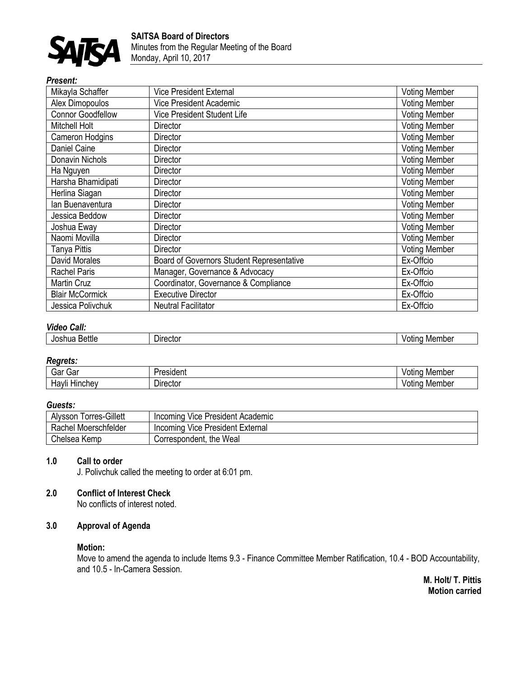

# *Present:*

| Mikayla Schaffer         | <b>Vice President External</b>            | <b>Voting Member</b> |
|--------------------------|-------------------------------------------|----------------------|
| Alex Dimopoulos          | <b>Vice President Academic</b>            | <b>Voting Member</b> |
| <b>Connor Goodfellow</b> | Vice President Student Life               | <b>Voting Member</b> |
| Mitchell Holt            | Director                                  | <b>Voting Member</b> |
| Cameron Hodgins          | Director                                  | <b>Voting Member</b> |
| Daniel Caine             | Director                                  | <b>Voting Member</b> |
| Donavin Nichols          | Director                                  | <b>Voting Member</b> |
| Ha Nguyen                | <b>Director</b>                           | <b>Voting Member</b> |
| Harsha Bhamidipati       | Director                                  | <b>Voting Member</b> |
| Herlina Siagan           | Director                                  | <b>Voting Member</b> |
| lan Buenaventura         | <b>Director</b>                           | <b>Voting Member</b> |
| Jessica Beddow           | Director                                  | <b>Voting Member</b> |
| Joshua Eway              | <b>Director</b>                           | <b>Voting Member</b> |
| Naomi Movilla            | Director                                  | <b>Voting Member</b> |
| Tanya Pittis             | <b>Director</b>                           | <b>Voting Member</b> |
| <b>David Morales</b>     | Board of Governors Student Representative | Ex-Offcio            |
| <b>Rachel Paris</b>      | Manager, Governance & Advocacy            | Ex-Offcio            |
| <b>Martin Cruz</b>       | Coordinator, Governance & Compliance      | Ex-Offcio            |
| <b>Blair McCormick</b>   | <b>Executive Director</b>                 | Ex-Offcio            |
| Jessica Polivchuk        | <b>Neutral Facilitator</b>                | Ex-Offcio            |

## *Video Call:*

| .<br>Bettle<br>Josnua | <b>Director</b> | Member<br>otino<br>.iber |
|-----------------------|-----------------|--------------------------|
|                       |                 |                          |

## *Regrets:*

| -<br>.<br>Jd.<br>vai    | $ -$<br><br>◡             | Mei<br>nbe  |
|-------------------------|---------------------------|-------------|
| .<br>ıt<br>טוור.<br>. . | -<br>----<br>JIr'<br>ال]ن | . Mer<br>าม |

## *Guests:*

| <b>Torres-Gillett</b><br>Alysson | Incoming Vice President Academic |
|----------------------------------|----------------------------------|
| Rachel Moerschfelder             | Incoming Vice President External |
| Chelsea Kemp                     | Correspondent, the Weal          |

## **1.0 Call to order**

J. Polivchuk called the meeting to order at 6:01 pm.

## **2.0 Conflict of Interest Check**

No conflicts of interest noted.

# **3.0 Approval of Agenda**

## **Motion:**

Move to amend the agenda to include Items 9.3 - Finance Committee Member Ratification, 10.4 - BOD Accountability, and 10.5 - In-Camera Session.

**M. Holt/ T. Pittis Motion carried**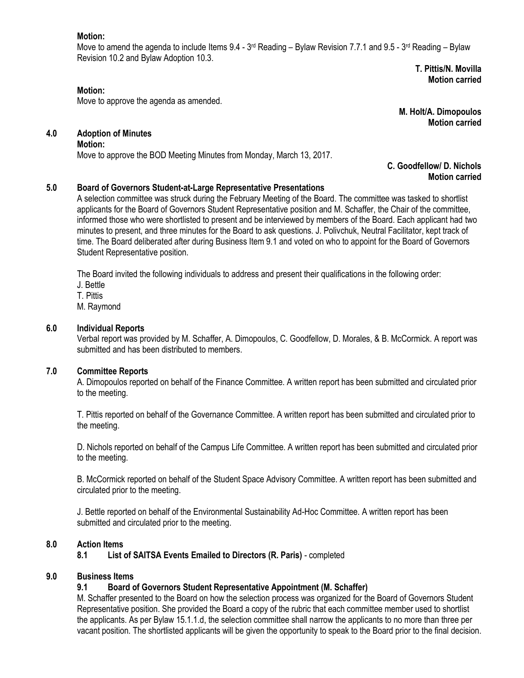## **Motion:**

**Motion:**

Move to amend the agenda to include Items 9.4 - 3<sup>rd</sup> Reading – Bylaw Revision 7.7.1 and 9.5 - 3<sup>rd</sup> Reading – Bylaw Revision 10.2 and Bylaw Adoption 10.3.

**T. Pittis/N. Movilla Motion carried**

**Motion carried**

**M. Holt/A. Dimopoulos**

Move to approve the agenda as amended.

## **4.0 Adoption of Minutes**

#### **Motion:**

Move to approve the BOD Meeting Minutes from Monday, March 13, 2017.

#### **C. Goodfellow/ D. Nichols Motion carried**

## **5.0 Board of Governors Student-at-Large Representative Presentations**

A selection committee was struck during the February Meeting of the Board. The committee was tasked to shortlist applicants for the Board of Governors Student Representative position and M. Schaffer, the Chair of the committee, informed those who were shortlisted to present and be interviewed by members of the Board. Each applicant had two minutes to present, and three minutes for the Board to ask questions. J. Polivchuk, Neutral Facilitator, kept track of time. The Board deliberated after during Business Item 9.1 and voted on who to appoint for the Board of Governors Student Representative position.

The Board invited the following individuals to address and present their qualifications in the following order:

- J. Bettle
- T. Pittis
- M. Raymond

## **6.0 Individual Reports**

Verbal report was provided by M. Schaffer, A. Dimopoulos, C. Goodfellow, D. Morales, & B. McCormick. A report was submitted and has been distributed to members.

## **7.0 Committee Reports**

A. Dimopoulos reported on behalf of the Finance Committee. A written report has been submitted and circulated prior to the meeting.

T. Pittis reported on behalf of the Governance Committee. A written report has been submitted and circulated prior to the meeting.

D. Nichols reported on behalf of the Campus Life Committee. A written report has been submitted and circulated prior to the meeting.

B. McCormick reported on behalf of the Student Space Advisory Committee. A written report has been submitted and circulated prior to the meeting.

J. Bettle reported on behalf of the Environmental Sustainability Ad-Hoc Committee. A written report has been submitted and circulated prior to the meeting.

## **8.0 Action Items**

**8.1 List of SAITSA Events Emailed to Directors (R. Paris)** - completed

## **9.0 Business Items**

## **9.1 Board of Governors Student Representative Appointment (M. Schaffer)**

M. Schaffer presented to the Board on how the selection process was organized for the Board of Governors Student Representative position. She provided the Board a copy of the rubric that each committee member used to shortlist the applicants. As per Bylaw 15.1.1.d, the selection committee shall narrow the applicants to no more than three per vacant position. The shortlisted applicants will be given the opportunity to speak to the Board prior to the final decision.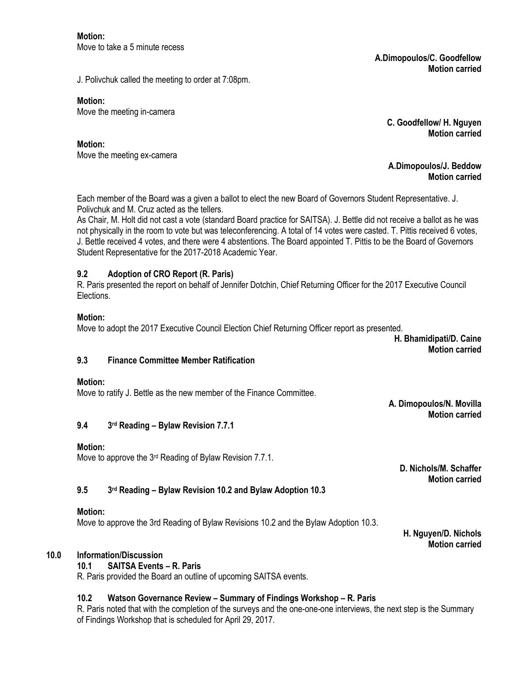**A.Dimopoulos/C. Goodfellow Motion carried**

J. Polivchuk called the meeting to order at 7:08pm.

#### **Motion:**

Move the meeting in-camera

**C. Goodfellow/ H. Nguyen Motion carried**

**Motion:**

Move the meeting ex-camera

**A.Dimopoulos/J. Beddow Motion carried**

Each member of the Board was a given a ballot to elect the new Board of Governors Student Representative. J. Polivchuk and M. Cruz acted as the tellers.

As Chair, M. Holt did not cast a vote (standard Board practice for SAITSA). J. Bettle did not receive a ballot as he was not physically in the room to vote but was teleconferencing. A total of 14 votes were casted. T. Pittis received 6 votes, J. Bettle received 4 votes, and there were 4 abstentions. The Board appointed T. Pittis to be the Board of Governors Student Representative for the 2017-2018 Academic Year.

## **9.2 Adoption of CRO Report (R. Paris)**

R. Paris presented the report on behalf of Jennifer Dotchin, Chief Returning Officer for the 2017 Executive Council Elections.

## **Motion:**

Move to adopt the 2017 Executive Council Election Chief Returning Officer report as presented.

**H. Bhamidipati/D. Caine Motion carried**

## **9.3 Finance Committee Member Ratification**

## **Motion:**

Move to ratify J. Bettle as the new member of the Finance Committee.

**A. Dimopoulos/N. Movilla Motion carried**

#### **9.4 3 rd Reading – Bylaw Revision 7.7.1**

## **Motion:**

Move to approve the 3<sup>rd</sup> Reading of Bylaw Revision 7.7.1.

**D. Nichols/M. Schaffer Motion carried**

#### **9.5 3 rd Reading – Bylaw Revision 10.2 and Bylaw Adoption 10.3**

## **Motion:**

Move to approve the 3rd Reading of Bylaw Revisions 10.2 and the Bylaw Adoption 10.3.

**H. Nguyen/D. Nichols Motion carried**

## **10.0 Information/Discussion**

## **10.1 SAITSA Events – R. Paris**

R. Paris provided the Board an outline of upcoming SAITSA events.

## **10.2 Watson Governance Review – Summary of Findings Workshop – R. Paris**

R. Paris noted that with the completion of the surveys and the one-one-one interviews, the next step is the Summary of Findings Workshop that is scheduled for April 29, 2017.